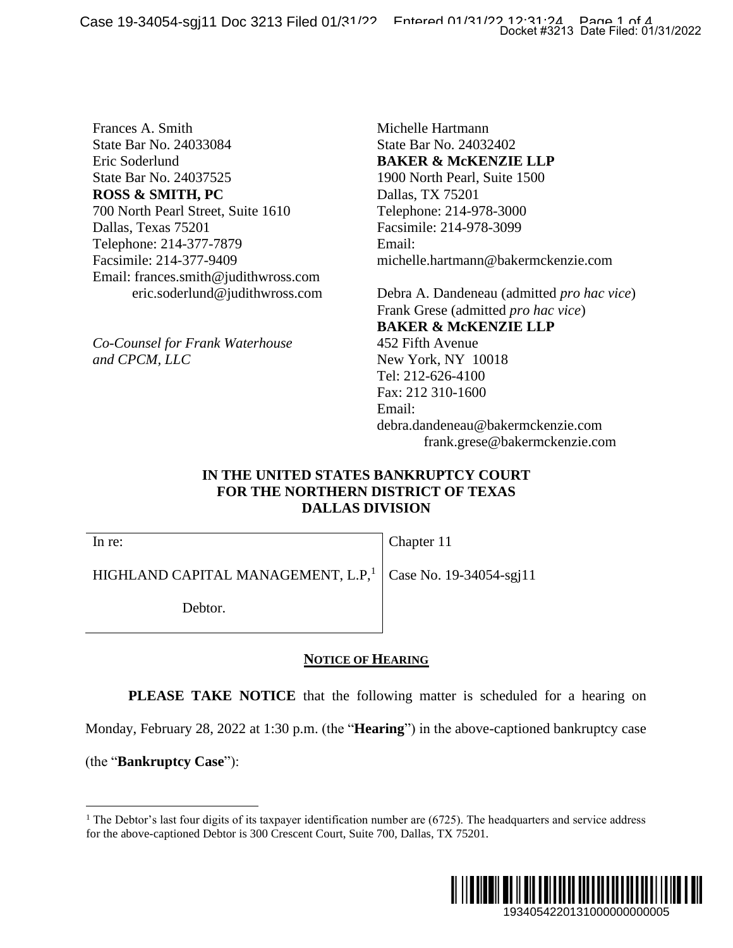Case 19-34054-sgj11 Doc 3213 Filed 01/31/22 Entered 01/31/22 12:31:24 Page 1 of 4

Frances A. Smith State Bar No. 24033084 Eric Soderlund State Bar No. 24037525 **ROSS & SMITH, PC** 700 North Pearl Street, Suite 1610 Dallas, Texas 75201 Telephone: 214-377-7879 Facsimile: 214-377-9409 Email: frances.smith@judithwross.com eric.soderlund@judithwross.com

*Co-Counsel for Frank Waterhouse and CPCM, LLC* 

Michelle Hartmann State Bar No. 24032402 **BAKER & McKENZIE LLP** 1900 North Pearl, Suite 1500 Dallas, TX 75201 Telephone: 214-978-3000 Facsimile: 214-978-3099 Email: michelle.hartmann@bakermckenzie.com

Debra A. Dandeneau (admitted *pro hac vice*) Frank Grese (admitted *pro hac vice*) **BAKER & McKENZIE LLP** 452 Fifth Avenue New York, NY 10018 Tel: 212-626-4100 Fax: 212 310-1600 Email: debra.dandeneau@bakermckenzie.com frank.grese@bakermckenzie.com Docket #3213 Date Filed: 01/31/2022<br>
21E LLP<br>
193000<br>
3000<br>
3000<br>
3000<br>
(admitted *pro hac vice*)<br>
(admitted *pro hac vice*)<br>
21E LLP<br>
8<br>
8<br>
kermckenzie.com<br>
DRT<br> **NRT<br>
48S**<br>
-sgj11<br>
eduled for a hearing on<br>
aptioned bankr

## **IN THE UNITED STATES BANKRUPTCY COURT FOR THE NORTHERN DISTRICT OF TEXAS DALLAS DIVISION**

Chapter 11

HIGHLAND CAPITAL MANAGEMENT,  $L.P$ ,<sup>1</sup> Case No. 19-34054-sgj11

Debtor.

### **NOTICE OF HEARING**

**PLEASE TAKE NOTICE** that the following matter is scheduled for a hearing on

Monday, February 28, 2022 at 1:30 p.m. (the "**Hearing**") in the above-captioned bankruptcy case

(the "**Bankruptcy Case**"):

In re:

<sup>&</sup>lt;sup>1</sup> The Debtor's last four digits of its taxpayer identification number are  $(6725)$ . The headquarters and service address for the above-captioned Debtor is 300 Crescent Court, Suite 700, Dallas, TX 75201.

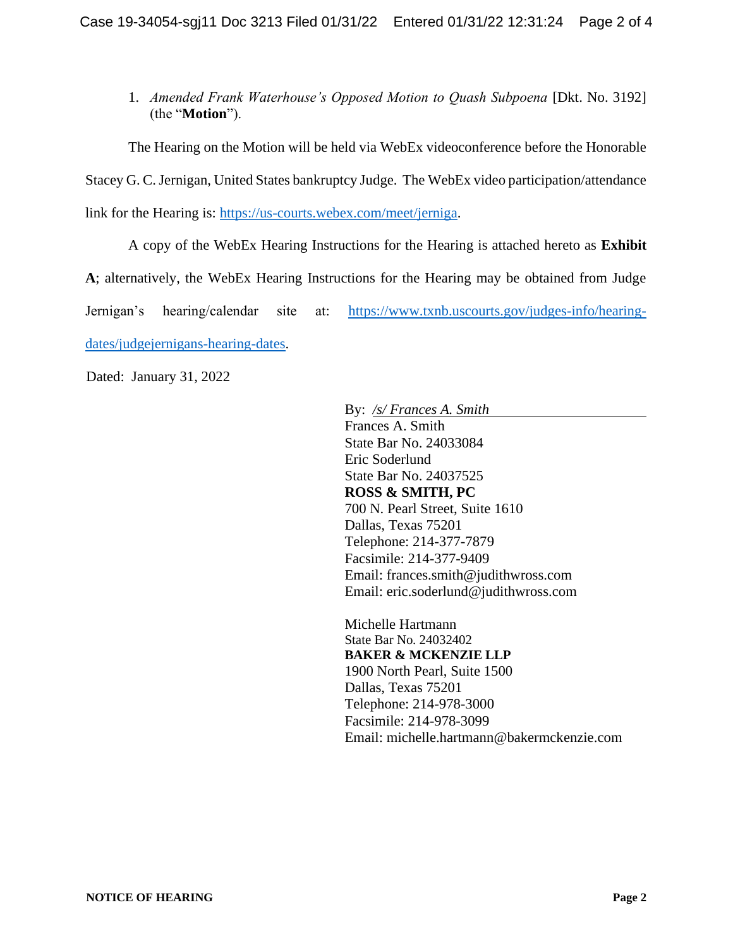1. *Amended Frank Waterhouse's Opposed Motion to Quash Subpoena* [Dkt. No. 3192] (the "**Motion**").

The Hearing on the Motion will be held via WebEx videoconference before the Honorable Stacey G. C. Jernigan, United States bankruptcy Judge. The WebEx video participation/attendance link for the Hearing is: [https://us-courts.webex.com/meet/jerniga.](https://us-courts.webex.com/meet/jerniga)

A copy of the WebEx Hearing Instructions for the Hearing is attached hereto as **Exhibit A**; alternatively, the WebEx Hearing Instructions for the Hearing may be obtained from Judge Jernigan's hearing/calendar site at: [https://www.txnb.uscourts.gov/judges-info/hearing](https://www.txnb.uscourts.gov/judges-info/hearing-dates/judgejernigans-hearing-dates)[dates/judgejernigans-hearing-dates.](https://www.txnb.uscourts.gov/judges-info/hearing-dates/judgejernigans-hearing-dates)

Dated: January 31, 2022

By: */s/ Frances A. Smith*  Frances A. Smith State Bar No. 24033084 Eric Soderlund State Bar No. 24037525 **ROSS & SMITH, PC** 700 N. Pearl Street, Suite 1610 Dallas, Texas 75201 Telephone: 214-377-7879 Facsimile: 214-377-9409 Email: frances.smith@judithwross.com Email: eric.soderlund@judithwross.com

Michelle Hartmann State Bar No. 24032402 **BAKER & MCKENZIE LLP** 1900 North Pearl, Suite 1500 Dallas, Texas 75201 Telephone: 214-978-3000 Facsimile: 214-978-3099 Email: michelle.hartmann@bakermckenzie.com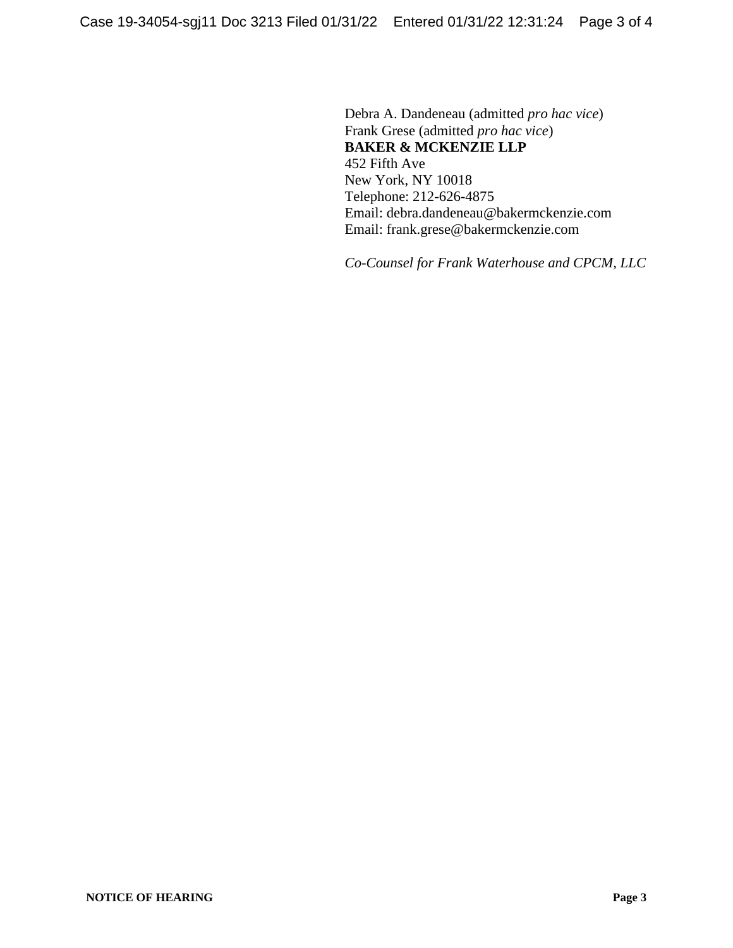Debra A. Dandeneau (admitted *pro hac vice*) Frank Grese (admitted *pro hac vice*) **BAKER & MCKENZIE LLP** 452 Fifth Ave New York, NY 10018 Telephone: 212-626-4875 Email: debra.dandeneau@bakermckenzie.com Email: frank.grese@bakermckenzie.com

*Co-Counsel for Frank Waterhouse and CPCM, LLC*